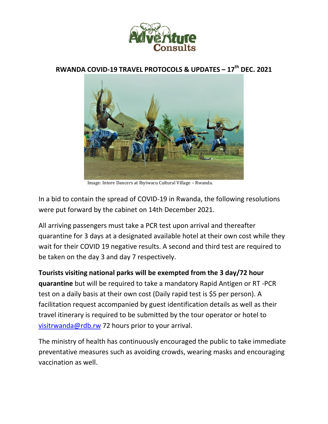

## **RWANDA COVID-19 TRAVEL PROTOCOLS & UPDATES – 17th DEC. 2021**



Image: Intore Dancers at Ibyiwacu Cultural Village – Rwanda.

In a bid to contain the spread of COVID-19 in Rwanda, the following resolutions were put forward by the cabinet on 14th December 2021.

All arriving passengers must take a PCR test upon arrival and thereafter quarantine for 3 days at a designated available hotel at their own cost while they wait for their COVID 19 negative results. A second and third test are required to be taken on the day 3 and day 7 respectively.

**Tourists visiting national parks will be exempted from the 3 day/72 hour quarantine** but will be required to take a mandatory Rapid Antigen or RT -PCR test on a daily basis at their own cost (Daily rapid test is \$5 per person). A facilitation request accompanied by guest identification details as well as their travel itinerary is required to be submitted by the tour operator or hotel to visitrwanda@rdb.rw 72 hours prior to your arrival.

The ministry of health has continuously encouraged the public to take immediate preventative measures such as avoiding crowds, wearing masks and encouraging vaccination as well.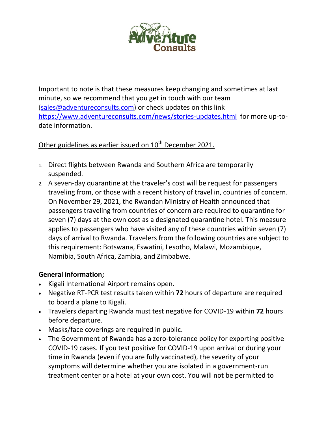

Important to note is that these measures keep changing and sometimes at last minute, so we recommend that you get in touch with our team (sales@adventureconsults.com) or check updates on this link https://www.adventureconsults.com/news/stories-updates.html for more up-todate information.

## Other guidelines as earlier issued on 10<sup>th</sup> December 2021.

- 1. Direct flights between Rwanda and Southern Africa are temporarily suspended.
- 2. A seven-day quarantine at the traveler's cost will be request for passengers traveling from, or those with a recent history of travel in, countries of concern. On November 29, 2021, the Rwandan Ministry of Health announced that passengers traveling from countries of concern are required to quarantine for seven (7) days at the own cost as a designated quarantine hotel. This measure applies to passengers who have visited any of these countries within seven (7) days of arrival to Rwanda. Travelers from the following countries are subject to this requirement: Botswana, Eswatini, Lesotho, Malawi, Mozambique, Namibia, South Africa, Zambia, and Zimbabwe.

## **General information;**

- Kigali International Airport remains open.
- Negative RT-PCR test results taken within **72** hours of departure are required to board a plane to Kigali.
- Travelers departing Rwanda must test negative for COVID-19 within **72** hours before departure.
- Masks/face coverings are required in public.
- The Government of Rwanda has a zero-tolerance policy for exporting positive COVID-19 cases. If you test positive for COVID-19 upon arrival or during your time in Rwanda (even if you are fully vaccinated), the severity of your symptoms will determine whether you are isolated in a government-run treatment center or a hotel at your own cost. You will not be permitted to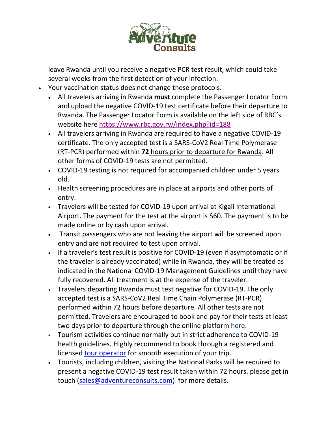

leave Rwanda until you receive a negative PCR test result, which could take several weeks from the first detection of your infection.

- Your vaccination status does not change these protocols.
	- All travelers arriving in Rwanda **must** complete the Passenger Locator Form and upload the negative COVID-19 test certificate before their departure to Rwanda. The Passenger Locator Form is available on the left side of RBC's website here https://www.rbc.gov.rw/index.php?id=188
	- All travelers arriving in Rwanda are required to have a negative COVID-19 certificate. The only accepted test is a SARS-CoV2 Real Time Polymerase (RT-PCR) performed within **72** hours prior to departure for Rwanda. All other forms of COVID-19 tests are not permitted.
	- COVID-19 testing is not required for accompanied children under 5 years old.
	- Health screening procedures are in place at airports and other ports of entry.
	- Travelers will be tested for COVID-19 upon arrival at Kigali International Airport. The payment for the test at the airport is \$60. The payment is to be made online or by cash upon arrival.
	- Transit passengers who are not leaving the airport will be screened upon entry and are not required to test upon arrival.
	- If a traveler's test result is positive for COVID-19 (even if asymptomatic or if the traveler is already vaccinated) while in Rwanda, they will be treated as indicated in the National COVID-19 Management Guidelines until they have fully recovered. All treatment is at the expense of the traveler.
	- Travelers departing Rwanda must test negative for COVID-19. The only accepted test is a SARS-CoV2 Real Time Chain Polymerase (RT-PCR) performed within 72 hours before departure. All other tests are not permitted. Travelers are encouraged to book and pay for their tests at least two days prior to departure through the online platform here.
	- Tourism activities continue normally but in strict adherence to COVID-19 health guidelines. Highly recommend to book through a registered and licensed tour operator for smooth execution of your trip.
	- Tourists, including children, visiting the National Parks will be required to present a negative COVID-19 test result taken within 72 hours. please get in touch (sales@adventureconsults.com) for more details.